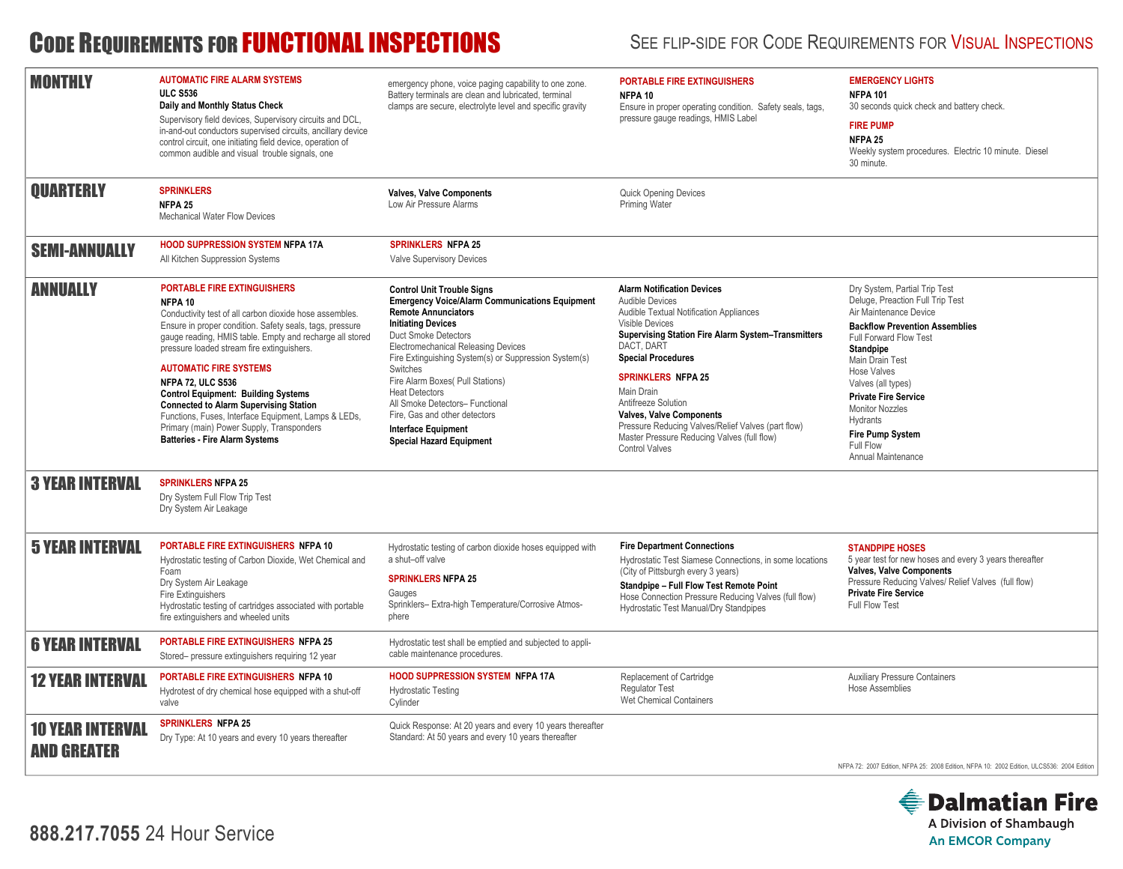# CODE REQUIREMENTS FOR FUNCTIONAL INSPECTIONS SEE FLIP-SIDE FOR CODE REQUIREMENTS FOR VISUAL INSPECTIONS

| <b>MONTHLY</b>                                | <b>AUTOMATIC FIRE ALARM SYSTEMS</b><br><b>ULC S536</b><br>Daily and Monthly Status Check<br>Supervisory field devices, Supervisory circuits and DCL,<br>in-and-out conductors supervised circuits, ancillary device<br>control circuit, one initiating field device, operation of<br>common audible and visual trouble signals, one                                                                                                                                                                                                                                                      | emergency phone, voice paging capability to one zone.<br>Battery terminals are clean and lubricated, terminal<br>clamps are secure, electrolyte level and specific gravity                                                                                                                                                                                                                                                                                                                         | <b>PORTABLE FIRE EXTINGUISHERS</b><br>NFPA <sub>10</sub><br>Ensure in proper operating condition. Safety seals, tags,<br>pressure gauge readings, HMIS Label                                                                                                                                                                                                                                                                                                         | <b>EMERGENCY LIGHTS</b><br><b>NFPA 101</b><br>30 seconds quick check and battery check.<br><b>FIRE PUMP</b><br>NFPA <sub>25</sub><br>Weekly system procedures. Electric 10 minute. Diesel<br>30 minute.                                                                                                                                                                              |
|-----------------------------------------------|------------------------------------------------------------------------------------------------------------------------------------------------------------------------------------------------------------------------------------------------------------------------------------------------------------------------------------------------------------------------------------------------------------------------------------------------------------------------------------------------------------------------------------------------------------------------------------------|----------------------------------------------------------------------------------------------------------------------------------------------------------------------------------------------------------------------------------------------------------------------------------------------------------------------------------------------------------------------------------------------------------------------------------------------------------------------------------------------------|----------------------------------------------------------------------------------------------------------------------------------------------------------------------------------------------------------------------------------------------------------------------------------------------------------------------------------------------------------------------------------------------------------------------------------------------------------------------|--------------------------------------------------------------------------------------------------------------------------------------------------------------------------------------------------------------------------------------------------------------------------------------------------------------------------------------------------------------------------------------|
| <b>OUARTERLY</b>                              | <b>SPRINKLERS</b><br>NFPA <sub>25</sub><br>Mechanical Water Flow Devices                                                                                                                                                                                                                                                                                                                                                                                                                                                                                                                 | <b>Valves, Valve Components</b><br>Low Air Pressure Alarms                                                                                                                                                                                                                                                                                                                                                                                                                                         | <b>Quick Opening Devices</b><br>Priming Water                                                                                                                                                                                                                                                                                                                                                                                                                        |                                                                                                                                                                                                                                                                                                                                                                                      |
| <b>SEMI-ANNUALLY</b>                          | <b>HOOD SUPPRESSION SYSTEM NFPA 17A</b><br>All Kitchen Suppression Systems                                                                                                                                                                                                                                                                                                                                                                                                                                                                                                               | <b>SPRINKLERS NFPA 25</b><br>Valve Supervisory Devices                                                                                                                                                                                                                                                                                                                                                                                                                                             |                                                                                                                                                                                                                                                                                                                                                                                                                                                                      |                                                                                                                                                                                                                                                                                                                                                                                      |
| <b>ANNUALLY</b>                               | <b>PORTABLE FIRE EXTINGUISHERS</b><br>NFPA 10<br>Conductivity test of all carbon dioxide hose assembles.<br>Ensure in proper condition. Safety seals, tags, pressure<br>gauge reading, HMIS table. Empty and recharge all stored<br>pressure loaded stream fire extinquishers.<br><b>AUTOMATIC FIRE SYSTEMS</b><br><b>NFPA 72, ULC S536</b><br><b>Control Equipment: Building Systems</b><br><b>Connected to Alarm Supervising Station</b><br>Functions, Fuses, Interface Equipment, Lamps & LEDs,<br>Primary (main) Power Supply, Transponders<br><b>Batteries - Fire Alarm Systems</b> | <b>Control Unit Trouble Signs</b><br><b>Emergency Voice/Alarm Communications Equipment</b><br><b>Remote Annunciators</b><br><b>Initiating Devices</b><br>Duct Smoke Detectors<br><b>Electromechanical Releasing Devices</b><br>Fire Extinguishing System(s) or Suppression System(s)<br>Switches<br>Fire Alarm Boxes( Pull Stations)<br><b>Heat Detectors</b><br>All Smoke Detectors- Functional<br>Fire. Gas and other detectors<br><b>Interface Equipment</b><br><b>Special Hazard Equipment</b> | <b>Alarm Notification Devices</b><br>Audible Devices<br>Audible Textual Notification Appliances<br><b>Visible Devices</b><br><b>Supervising Station Fire Alarm System-Transmitters</b><br>DACT, DART<br><b>Special Procedures</b><br><b>SPRINKLERS NFPA 25</b><br>Main Drain<br>Antifreeze Solution<br><b>Valves, Valve Components</b><br>Pressure Reducing Valves/Relief Valves (part flow)<br>Master Pressure Reducing Valves (full flow)<br><b>Control Valves</b> | Dry System, Partial Trip Test<br>Deluge, Preaction Full Trip Test<br>Air Maintenance Device<br><b>Backflow Prevention Assemblies</b><br>Full Forward Flow Test<br><b>Standpipe</b><br>Main Drain Test<br><b>Hose Valves</b><br>Valves (all types)<br><b>Private Fire Service</b><br><b>Monitor Nozzles</b><br>Hydrants<br><b>Fire Pump System</b><br>Full Flow<br>Annual Maintenance |
| <b>3 YEAR INTERVAL</b>                        | <b>SPRINKLERS NFPA 25</b><br>Dry System Full Flow Trip Test<br>Dry System Air Leakage                                                                                                                                                                                                                                                                                                                                                                                                                                                                                                    |                                                                                                                                                                                                                                                                                                                                                                                                                                                                                                    |                                                                                                                                                                                                                                                                                                                                                                                                                                                                      |                                                                                                                                                                                                                                                                                                                                                                                      |
| <b>5 YEAR INTERVAL</b>                        | PORTABLE FIRE EXTINGUISHERS NFPA 10<br>Hydrostatic testing of Carbon Dioxide, Wet Chemical and<br>Foam<br>Dry System Air Leakage<br>Fire Extinguishers<br>Hydrostatic testing of cartridges associated with portable<br>fire extinguishers and wheeled units                                                                                                                                                                                                                                                                                                                             | Hydrostatic testing of carbon dioxide hoses equipped with<br>a shut-off valve<br><b>SPRINKLERS NFPA 25</b><br>Gauges<br>Sprinklers- Extra-high Temperature/Corrosive Atmos-<br>phere                                                                                                                                                                                                                                                                                                               | <b>Fire Department Connections</b><br>Hydrostatic Test Siamese Connections, in some locations<br>(City of Pittsburgh every 3 years)<br>Standpipe - Full Flow Test Remote Point<br>Hose Connection Pressure Reducing Valves (full flow)<br>Hydrostatic Test Manual/Dry Standpipes                                                                                                                                                                                     | <b>STANDPIPE HOSES</b><br>5 year test for new hoses and every 3 years thereafter<br><b>Valves, Valve Components</b><br>Pressure Reducing Valves/ Relief Valves (full flow)<br><b>Private Fire Service</b><br>Full Flow Test                                                                                                                                                          |
| <b>6 YEAR INTERVAL</b>                        | <b>PORTABLE FIRE EXTINGUISHERS NFPA 25</b><br>Stored- pressure extinguishers requiring 12 year                                                                                                                                                                                                                                                                                                                                                                                                                                                                                           | Hydrostatic test shall be emptied and subjected to appli-<br>cable maintenance procedures.                                                                                                                                                                                                                                                                                                                                                                                                         |                                                                                                                                                                                                                                                                                                                                                                                                                                                                      |                                                                                                                                                                                                                                                                                                                                                                                      |
| <b>12 YEAR INTERVAL</b>                       | PORTABLE FIRE EXTINGUISHERS NFPA 10<br>Hydrotest of dry chemical hose equipped with a shut-off<br>valve                                                                                                                                                                                                                                                                                                                                                                                                                                                                                  | <b>HOOD SUPPRESSION SYSTEM NFPA 17A</b><br><b>Hydrostatic Testing</b><br>Cylinder                                                                                                                                                                                                                                                                                                                                                                                                                  | Replacement of Cartridge<br><b>Requlator Test</b><br>Wet Chemical Containers                                                                                                                                                                                                                                                                                                                                                                                         | <b>Auxiliary Pressure Containers</b><br>Hose Assemblies                                                                                                                                                                                                                                                                                                                              |
| <b>10 YEAR INTERVAL</b><br><b>AND GREATER</b> | <b>SPRINKLERS NFPA 25</b><br>Dry Type: At 10 years and every 10 years thereafter                                                                                                                                                                                                                                                                                                                                                                                                                                                                                                         | Quick Response: At 20 years and every 10 years thereafter<br>Standard: At 50 years and every 10 years thereafter                                                                                                                                                                                                                                                                                                                                                                                   |                                                                                                                                                                                                                                                                                                                                                                                                                                                                      | NFPA 72: 2007 Edition, NFPA 25: 2008 Edition, NFPA 10: 2002 Edition, ULCS536: 2004 Edition                                                                                                                                                                                                                                                                                           |

**888.217.7055** 24 Hour Service

### **● Dalmatian Fire** A Division of Shambaugh **An EMCOR Company**